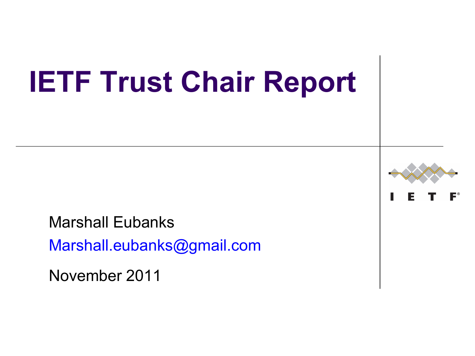# **IETF Trust Chair Report**



November 2011

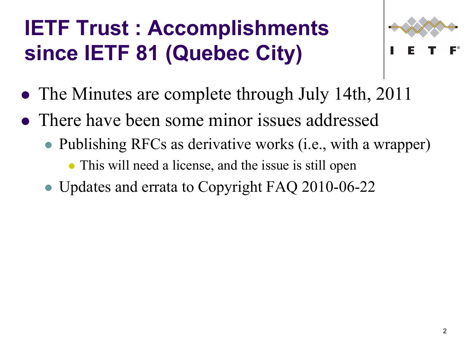### **IETF Trust : Accomplishments since IETF 81 (Quebec City)**



- The Minutes are complete through July 14th, 2011
- There have been some minor issues addressed
	- Publishing RFCs as derivative works (i.e., with a wrapper)
		- This will need a license, and the issue is still open
	- Updates and errata to Copyright FAQ 2010-06-22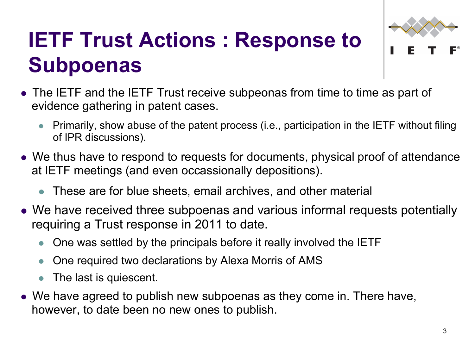### **IETF Trust Actions : Response to Subpoenas**



- The IETF and the IETF Trust receive subpeonas from time to time as part of evidence gathering in patent cases.
	- ! Primarily, show abuse of the patent process (i.e., participation in the IETF without filing of IPR discussions).
- We thus have to respond to requests for documents, physical proof of attendance at IETF meetings (and even occassionally depositions).
	- ! These are for blue sheets, email archives, and other material
- We have received three subpoenas and various informal requests potentially requiring a Trust response in 2011 to date.
	- ! One was settled by the principals before it really involved the IETF
	- ! One required two declarations by Alexa Morris of AMS
	- The last is quiescent.
- We have agreed to publish new subpoenas as they come in. There have, however, to date been no new ones to publish.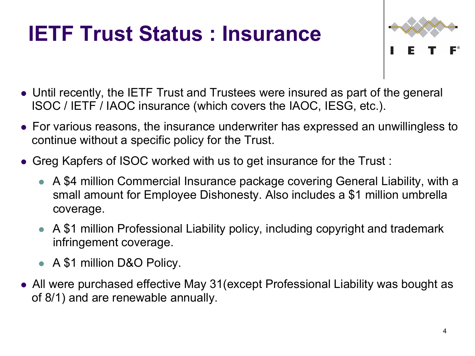# **IETF Trust Status : Insurance**



- Until recently, the IETF Trust and Trustees were insured as part of the general ISOC / IETF / IAOC insurance (which covers the IAOC, IESG, etc.).
- ! For various reasons, the insurance underwriter has expressed an unwillingless to continue without a specific policy for the Trust.
- ! Greg Kapfers of ISOC worked with us to get insurance for the Trust :
	- A \$4 million Commercial Insurance package covering General Liability, with a small amount for Employee Dishonesty. Also includes a \$1 million umbrella coverage.
	- A \$1 million Professional Liability policy, including copyright and trademark infringement coverage.
	- A \$1 million D&O Policy.
- All were purchased effective May 31 (except Professional Liability was bought as of 8/1) and are renewable annually.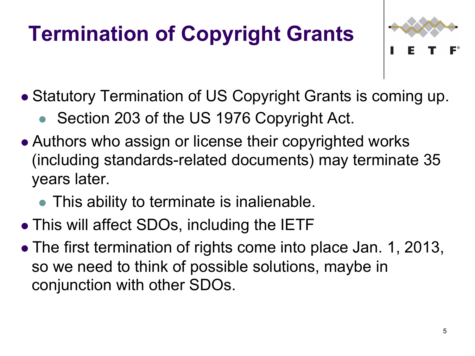# **Termination of Copyright Grants**



- Statutory Termination of US Copyright Grants is coming up.
	- Section 203 of the US 1976 Copyright Act.
- Authors who assign or license their copyrighted works (including standards-related documents) may terminate 35 years later.
	- This ability to terminate is inalienable.
- This will affect SDOs, including the IETF
- The first termination of rights come into place Jan. 1, 2013, so we need to think of possible solutions, maybe in conjunction with other SDOs.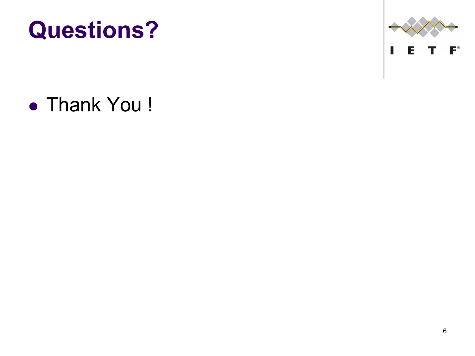



#### • Thank You !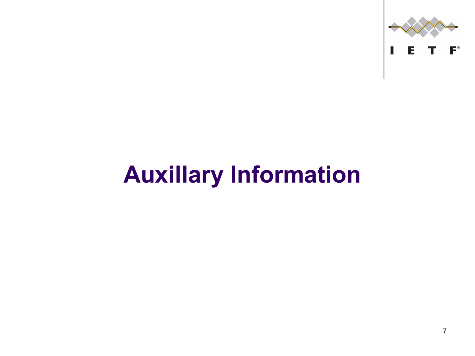

# **Auxillary Information**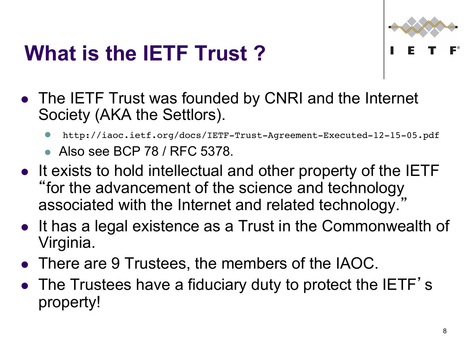### **What is the IETF Trust ?**



- The IETF Trust was founded by CNRI and the Internet Society (AKA the Settlors).
	- http://iaoc.ietf.org/docs/IETF-Trust-Agreement-Executed-12-15-05.pdf
	- Also see BCP 78 / RFC 5378.
- It exists to hold intellectual and other property of the IETF "for the advancement of the science and technology associated with the Internet and related technology."
- It has a legal existence as a Trust in the Commonwealth of Virginia.
- There are 9 Trustees, the members of the IAOC.
- The Trustees have a fiduciary duty to protect the IETF's property!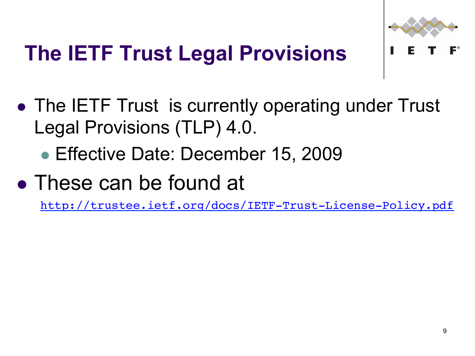

### **The IETF Trust Legal Provisions**

- The IETF Trust is currently operating under Trust Legal Provisions (TLP) 4.0.
	- **Effective Date: December 15, 2009**
- These can be found at

http://trustee.ietf.org/docs/IETF-Trust-License-Policy.pdf